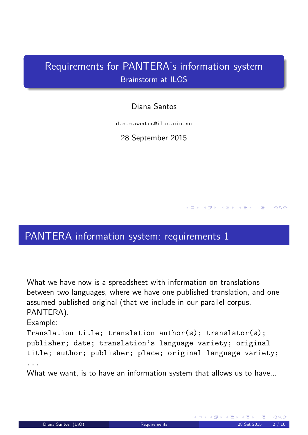# Requirements for PANTERA's information system Brainstorm at ILOS

## Diana Santos

d.s.m.santos@ilos.uio.no

28 September 2015

# PANTERA information system: requirements 1

What we have now is a spreadsheet with information on translations between two languages, where we have one published translation, and one assumed published original (that we include in our parallel corpus, PANTERA).

## Example:

Translation title; translation author(s); translator(s); publisher; date; translation's language variety; original title; author; publisher; place; original language variety; ...

<span id="page-0-1"></span><span id="page-0-0"></span>What we want, is to have an information system that allows us to have...

(□ ) ( ④ ) ( ③ ) ( ③ ) ( ③ )

 $QQQ$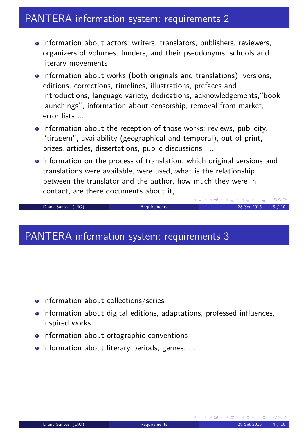## PANTERA information system: requirements 2

- information about actors: writers, translators, publishers, reviewers, organizers of volumes, funders, and their pseudonyms, schools and literary movements
- information about works (both originals and translations): versions, editions, corrections, timelines, illustrations, prefaces and introductions, language variety, dedications, acknowledgements,"book launchings", information about censorship, removal from market, error lists ...
- information about the reception of those works: reviews, publicity, "tiragem", availability (geographical and temporal), out of print, prizes, articles, dissertations, public discussions, ...
- information on the process of translation: which original versions and translations were available, were used, what is the relationship between the translator and the author, how much they were in contact, are there documents about it, ...

(ロ) (伊)

### Diana Santos (UiO) Requirements 28 Set 2015 3 / 10

# PANTERA information system: requirements 3

- information about collections/series
- information about digital editions, adaptations, professed influences, inspired works
- information about ortographic conventions
- <span id="page-1-0"></span>**.** information about literary periods, genres, ...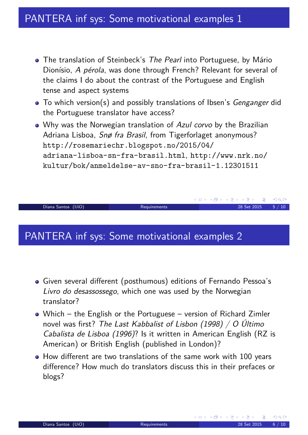- The translation of Steinbeck's The Pearl into Portuguese, by Mário Dionísio, A pérola, was done through French? Relevant for several of the claims I do about the contrast of the Portuguese and English tense and aspect systems
- To which version(s) and possibly translations of Ibsen's Genganger did the Portuguese translator have access?
- Why was the Norwegian translation of Azul corvo by the Brazilian Adriana Lisboa, Snø fra Brasil, from Tigerforlaget anonymous? http://rosemariechr.blogspot.no/2015/04/ adriana-lisboa-sn-fra-brasil.html, http://www.nrk.no/ kultur/bok/anmeldelse-av-sno-fra-brasil-1.12301511

Diana Santos (UiO) Requirements 28 Set 2015 5 / 10

# PANTERA inf sys: Some motivational examples 2

- Given several different (posthumous) editions of Fernando Pessoa's Livro do desassossego, which one was used by the Norwegian translator?
- Which the English or the Portuguese version of Richard Zimler novel was first? The Last Kabbalist of Lisbon (1998) / O Último Cabalista de Lisboa (1996)? Is it written in American English (RZ is American) or British English (published in London)?
- <span id="page-2-0"></span>• How different are two translations of the same work with 100 years difference? How much do translators discuss this in their prefaces or blogs?

**K ロ ▶ K 御 ▶ K 君 ▶ K 君 ▶** ...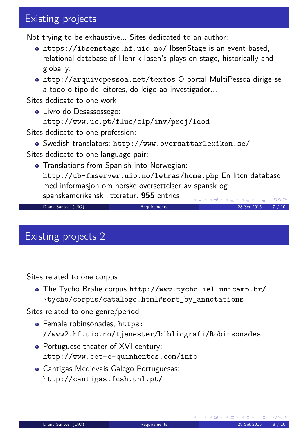# Existing projects

Not trying to be exhaustive... Sites dedicated to an author:

- https://ibsenstage.hf.uio.no/ IbsenStage is an event-based, relational database of Henrik Ibsen's plays on stage, historically and globally.
- http://arquivopessoa.net/textos O portal MultiPessoa dirige-se a todo o tipo de leitores, do leigo ao investigador...

Sites dedicate to one work

Livro do Desassossego: http://www.uc.pt/fluc/clp/inv/proj/ldod

Sites dedicate to one profession:

Swedish translators: http://www.oversattarlexikon.se/

Sites dedicate to one language pair:

**•** Translations from Spanish into Norwegian: http://ub-fmserver.uio.no/letras/home.php En liten database med informasjon om norske oversettelser av spansk og spanskamerikansk litteratur. **955** entries ◀ ㅁ ▶ ◀ @ ▶ ◀ 둘 ▶ ◀ 둘 ▶ │ 둘  $\Omega$ 

Diana Santos (UiO) Requirements 28 Set 2015 7 / 10

## Existing projects 2

Sites related to one corpus

The Tycho Brahe corpus http://www.tycho.iel.unicamp.br/ ~tycho/corpus/catalogo.html#sort\_by\_annotations

Sites related to one genre/period

- [Female robinsonad](https://ibsenstage.hf.uio.no/)es, https: //www2.[hf.uio.no/tjenester/biblio](http://www.tycho.iel.unicamp.br/~tycho/corpus/catalogo.html#sort_by_annotations)grafi/Robinsonades
- [Portuguese theater of XVI century](http://www.tycho.iel.unicamp.br/~tycho/corpus/catalogo.html#sort_by_annotations): http://www.cet-e-quinhentos.com/info
- <span id="page-3-0"></span>[Cantigas Medievais Galego Portuguesas:](https://www2.hf.uio.no/tjenester/bibliografi/Robinsonades) [http://cantigas.fcsh](http://www.cet-e-quinhentos.com/info).unl.pt/